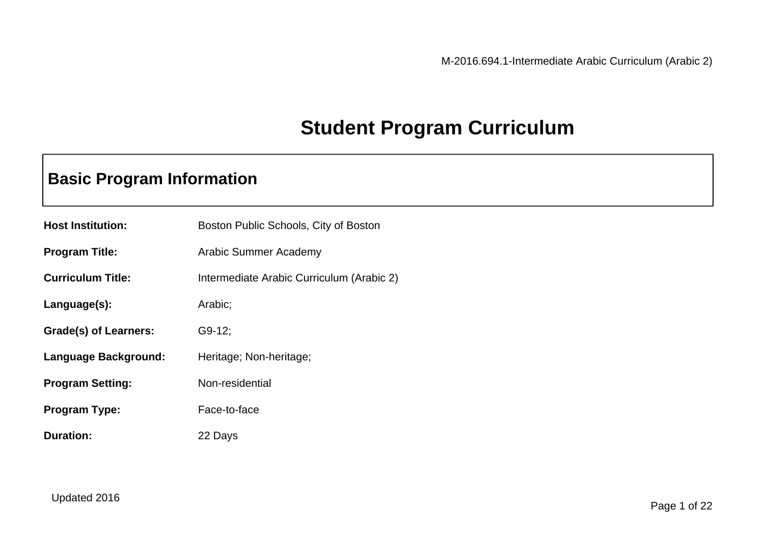### **Student Program Curriculum**

### **Basic Program Information**

| <b>Host Institution:</b> | Boston Public Schools, City of Boston     |
|--------------------------|-------------------------------------------|
| <b>Program Title:</b>    | Arabic Summer Academy                     |
| <b>Curriculum Title:</b> | Intermediate Arabic Curriculum (Arabic 2) |
| Language(s):             | Arabic;                                   |
| Grade(s) of Learners:    | $G9-12$ ;                                 |
| Language Background:     | Heritage; Non-heritage;                   |
| <b>Program Setting:</b>  | Non-residential                           |
| <b>Program Type:</b>     | Face-to-face                              |
| <b>Duration:</b>         | 22 Days                                   |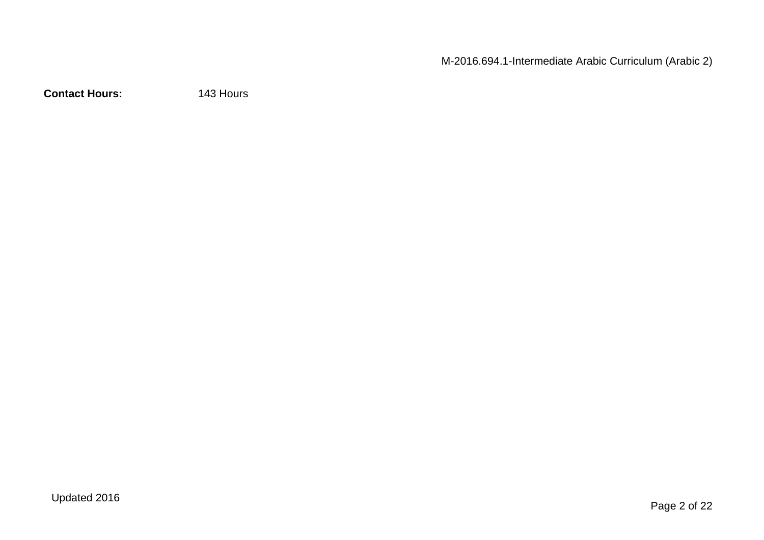**Contact Hours:** 143 Hours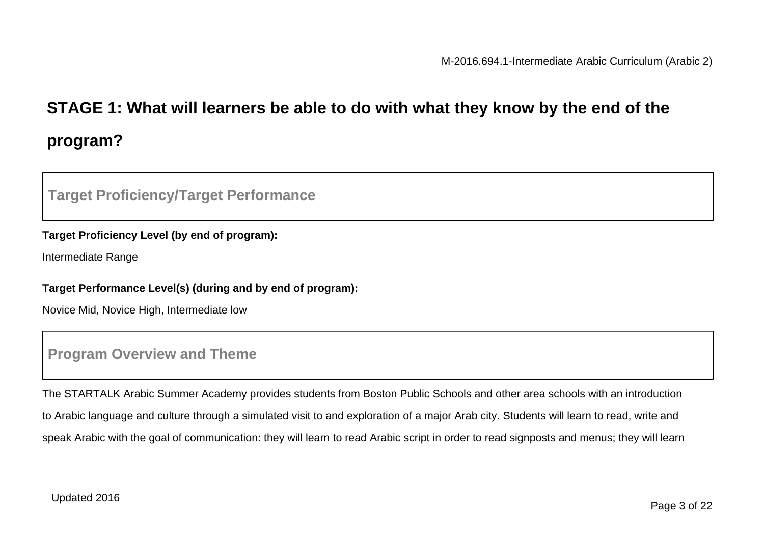# **STAGE 1: What will learners be able to do with what they know by the end of the program?**

#### **Target Proficiency/Target Performance**

#### **Target Proficiency Level (by end of program):**

Intermediate Range

#### **Target Performance Level(s) (during and by end of program):**

Novice Mid, Novice High, Intermediate low

#### **Program Overview and Theme**

The STARTALK Arabic Summer Academy provides students from Boston Public Schools and other area schools with an introduction to Arabic language and culture through a simulated visit to and exploration of a major Arab city. Students will learn to read, write and speak Arabic with the goal of communication: they will learn to read Arabic script in order to read signposts and menus; they will learn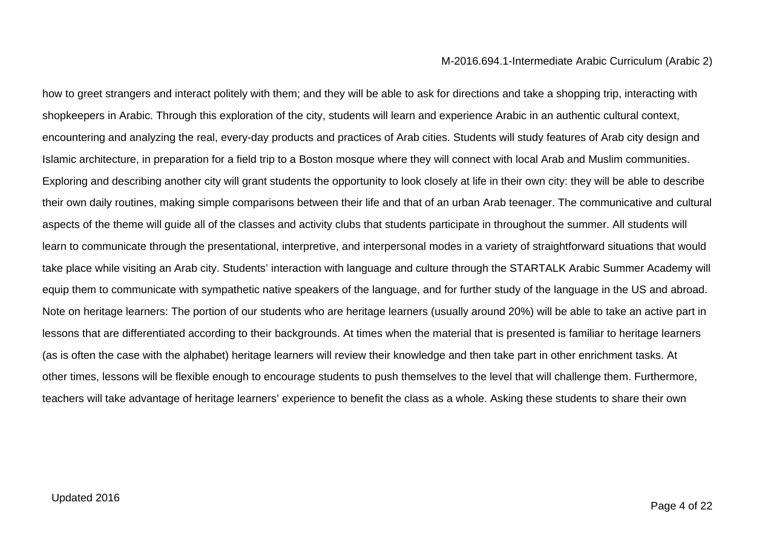how to greet strangers and interact politely with them; and they will be able to ask for directions and take a shopping trip, interacting with shopkeepers in Arabic. Through this exploration of the city, students will learn and experience Arabic in an authentic cultural context, encountering and analyzing the real, every-day products and practices of Arab cities. Students will study features of Arab city design and Islamic architecture, in preparation for a field trip to a Boston mosque where they will connect with local Arab and Muslim communities. Exploring and describing another city will grant students the opportunity to look closely at life in their own city: they will be able to describe their own daily routines, making simple comparisons between their life and that of an urban Arab teenager. The communicative and cultural aspects of the theme will guide all of the classes and activity clubs that students participate in throughout the summer. All students will learn to communicate through the presentational, interpretive, and interpersonal modes in a variety of straightforward situations that would take place while visiting an Arab city. Students' interaction with language and culture through the STARTALK Arabic Summer Academy will equip them to communicate with sympathetic native speakers of the language, and for further study of the language in the US and abroad. Note on heritage learners: The portion of our students who are heritage learners (usually around 20%) will be able to take an active part in lessons that are differentiated according to their backgrounds. At times when the material that is presented is familiar to heritage learners (as is often the case with the alphabet) heritage learners will review their knowledge and then take part in other enrichment tasks. At other times, lessons will be flexible enough to encourage students to push themselves to the level that will challenge them. Furthermore, teachers will take advantage of heritage learners' experience to benefit the class as a whole. Asking these students to share their own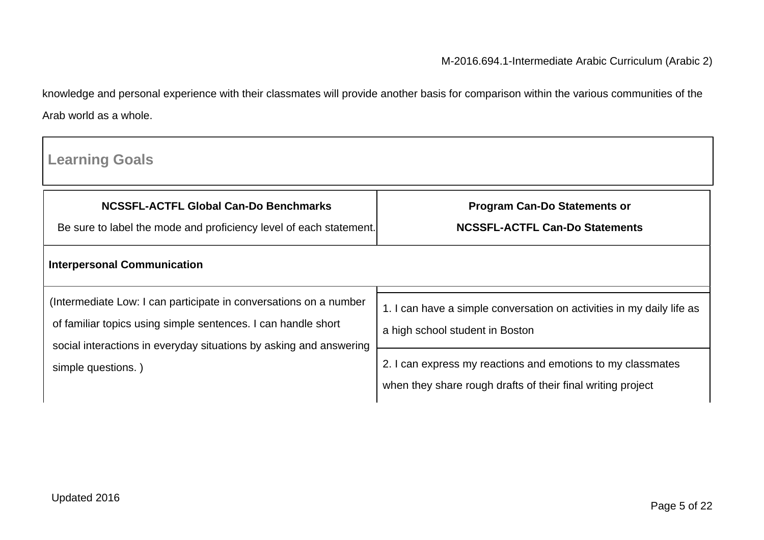knowledge and personal experience with their classmates will provide another basis for comparison within the various communities of the Arab world as a whole.

| <b>Learning Goals</b>                                                                                                                                                                                                          |                                                                                                                            |  |  |
|--------------------------------------------------------------------------------------------------------------------------------------------------------------------------------------------------------------------------------|----------------------------------------------------------------------------------------------------------------------------|--|--|
| <b>NCSSFL-ACTFL Global Can-Do Benchmarks</b><br>Be sure to label the mode and proficiency level of each statement.                                                                                                             | <b>Program Can-Do Statements or</b><br><b>NCSSFL-ACTFL Can-Do Statements</b>                                               |  |  |
| <b>Interpersonal Communication</b>                                                                                                                                                                                             |                                                                                                                            |  |  |
| (Intermediate Low: I can participate in conversations on a number<br>of familiar topics using simple sentences. I can handle short<br>social interactions in everyday situations by asking and answering<br>simple questions.) | 1. I can have a simple conversation on activities in my daily life as<br>a high school student in Boston                   |  |  |
|                                                                                                                                                                                                                                | 2. I can express my reactions and emotions to my classmates<br>when they share rough drafts of their final writing project |  |  |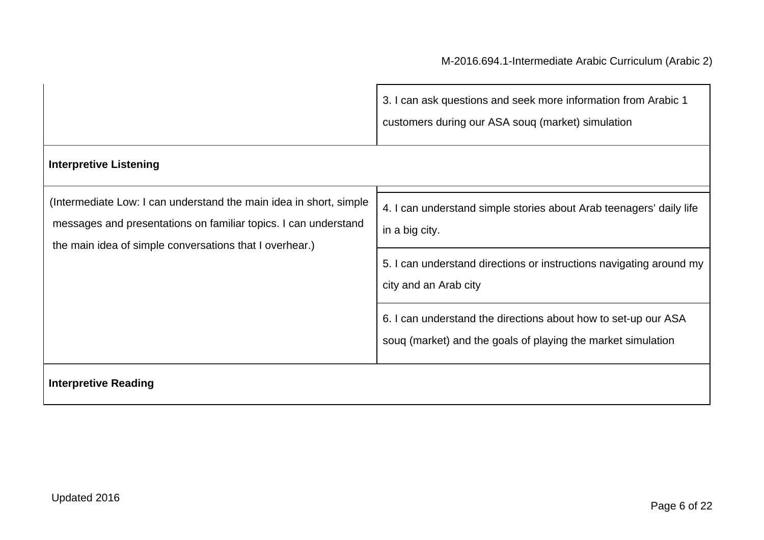|                                                                                                                                                                                                  | 3. I can ask questions and seek more information from Arabic 1<br>customers during our ASA souq (market) simulation            |  |
|--------------------------------------------------------------------------------------------------------------------------------------------------------------------------------------------------|--------------------------------------------------------------------------------------------------------------------------------|--|
| <b>Interpretive Listening</b>                                                                                                                                                                    |                                                                                                                                |  |
| (Intermediate Low: I can understand the main idea in short, simple<br>messages and presentations on familiar topics. I can understand<br>the main idea of simple conversations that I overhear.) | 4. I can understand simple stories about Arab teenagers' daily life<br>in a big city.                                          |  |
|                                                                                                                                                                                                  | 5. I can understand directions or instructions navigating around my<br>city and an Arab city                                   |  |
|                                                                                                                                                                                                  | 6. I can understand the directions about how to set-up our ASA<br>soug (market) and the goals of playing the market simulation |  |
| <b>Interpretive Reading</b>                                                                                                                                                                      |                                                                                                                                |  |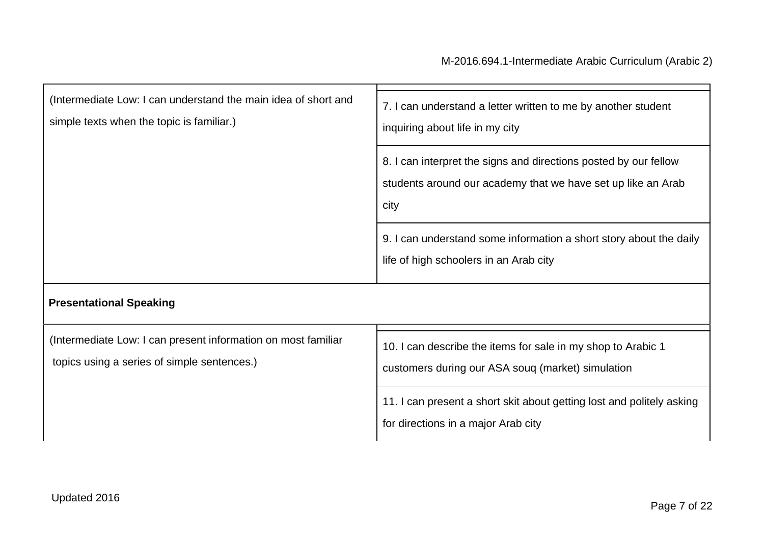| (Intermediate Low: I can understand the main idea of short and<br>simple texts when the topic is familiar.)  | 7. I can understand a letter written to me by another student<br>inquiring about life in my city                                         |  |
|--------------------------------------------------------------------------------------------------------------|------------------------------------------------------------------------------------------------------------------------------------------|--|
|                                                                                                              | 8. I can interpret the signs and directions posted by our fellow<br>students around our academy that we have set up like an Arab<br>city |  |
|                                                                                                              | 9. I can understand some information a short story about the daily<br>life of high schoolers in an Arab city                             |  |
| <b>Presentational Speaking</b>                                                                               |                                                                                                                                          |  |
| (Intermediate Low: I can present information on most familiar<br>topics using a series of simple sentences.) | 10. I can describe the items for sale in my shop to Arabic 1<br>customers during our ASA soug (market) simulation                        |  |
|                                                                                                              | 11. I can present a short skit about getting lost and politely asking<br>for directions in a major Arab city                             |  |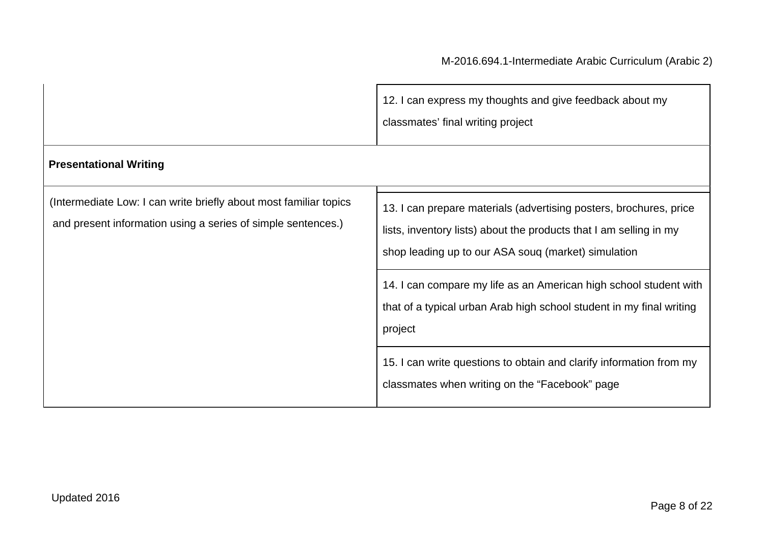|                                                                                                                                   | 12. I can express my thoughts and give feedback about my<br>classmates' final writing project                                                                                                                                                                        |
|-----------------------------------------------------------------------------------------------------------------------------------|----------------------------------------------------------------------------------------------------------------------------------------------------------------------------------------------------------------------------------------------------------------------|
| <b>Presentational Writing</b>                                                                                                     |                                                                                                                                                                                                                                                                      |
| (Intermediate Low: I can write briefly about most familiar topics<br>and present information using a series of simple sentences.) | 13. I can prepare materials (advertising posters, brochures, price<br>lists, inventory lists) about the products that I am selling in my<br>shop leading up to our ASA souq (market) simulation<br>14. I can compare my life as an American high school student with |
|                                                                                                                                   | that of a typical urban Arab high school student in my final writing<br>project                                                                                                                                                                                      |
|                                                                                                                                   | 15. I can write questions to obtain and clarify information from my<br>classmates when writing on the "Facebook" page                                                                                                                                                |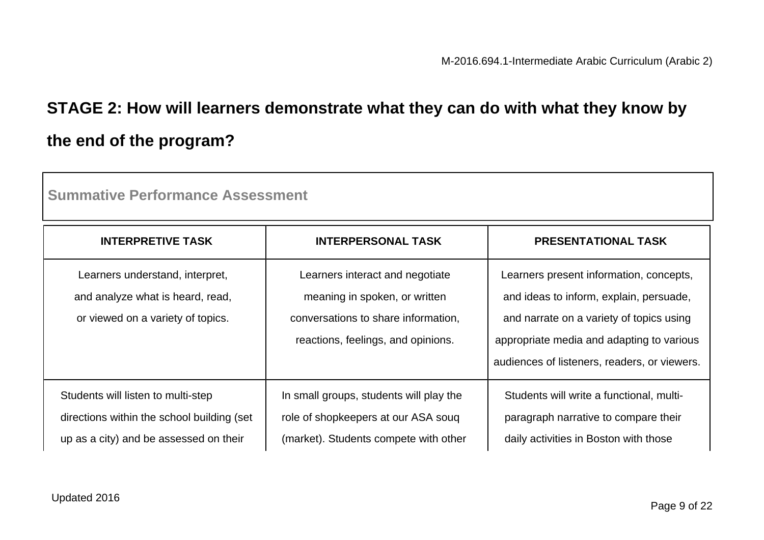# **STAGE 2: How will learners demonstrate what they can do with what they know by the end of the program?**

| <b>Summative Performance Assessment</b>                                                                                     |                                                                                                                                               |                                                                                                                                                                                                                             |  |
|-----------------------------------------------------------------------------------------------------------------------------|-----------------------------------------------------------------------------------------------------------------------------------------------|-----------------------------------------------------------------------------------------------------------------------------------------------------------------------------------------------------------------------------|--|
| <b>INTERPRETIVE TASK</b>                                                                                                    | <b>INTERPERSONAL TASK</b>                                                                                                                     | <b>PRESENTATIONAL TASK</b>                                                                                                                                                                                                  |  |
| Learners understand, interpret,<br>and analyze what is heard, read,<br>or viewed on a variety of topics.                    | Learners interact and negotiate<br>meaning in spoken, or written<br>conversations to share information,<br>reactions, feelings, and opinions. | Learners present information, concepts,<br>and ideas to inform, explain, persuade,<br>and narrate on a variety of topics using<br>appropriate media and adapting to various<br>audiences of listeners, readers, or viewers. |  |
| Students will listen to multi-step<br>directions within the school building (set)<br>up as a city) and be assessed on their | In small groups, students will play the<br>role of shopkeepers at our ASA soug<br>(market). Students compete with other                       | Students will write a functional, multi-<br>paragraph narrative to compare their<br>daily activities in Boston with those                                                                                                   |  |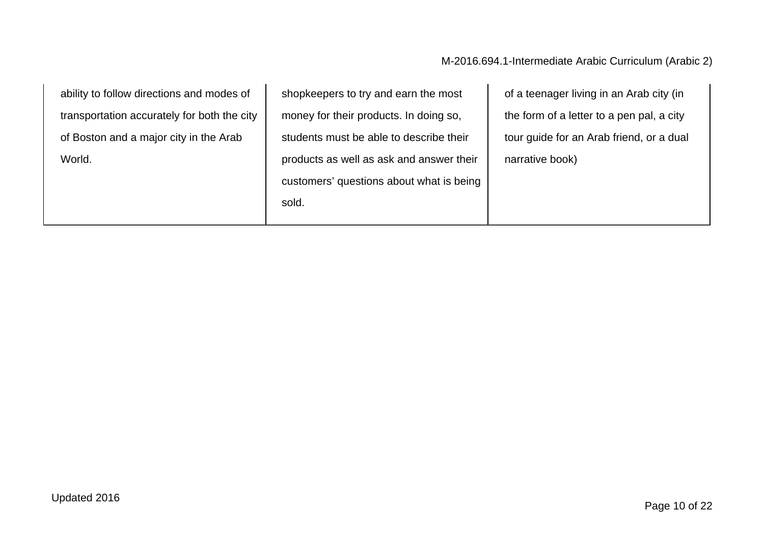| ability to follow directions and modes of   | shopkeepers to try and earn the most     | of a teenager living in an Arab city (in  |
|---------------------------------------------|------------------------------------------|-------------------------------------------|
| transportation accurately for both the city | money for their products. In doing so,   | the form of a letter to a pen pal, a city |
| of Boston and a major city in the Arab      | students must be able to describe their  | tour guide for an Arab friend, or a dual  |
| World.                                      | products as well as ask and answer their | narrative book)                           |
|                                             | customers' questions about what is being |                                           |
|                                             | sold.                                    |                                           |
|                                             |                                          |                                           |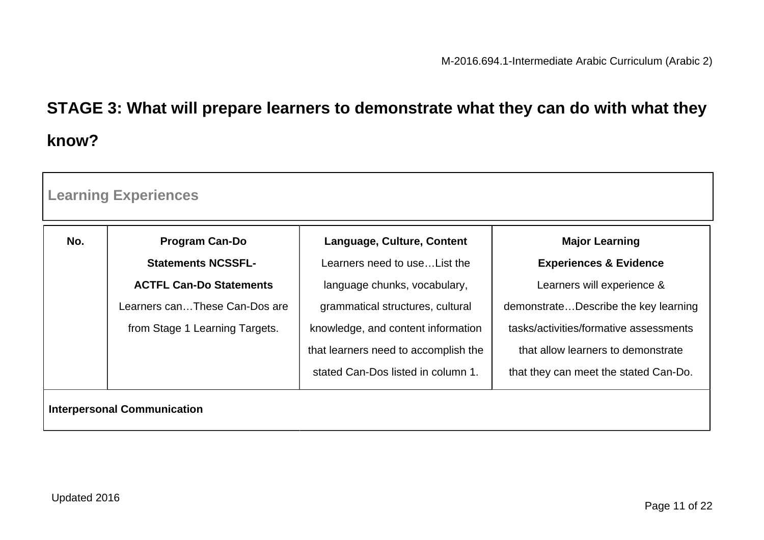# **STAGE 3: What will prepare learners to demonstrate what they can do with what they know?**

| No. | <b>Program Can-Do</b>          | Language, Culture, Content           | <b>Major Learning</b>                  |
|-----|--------------------------------|--------------------------------------|----------------------------------------|
|     | <b>Statements NCSSFL-</b>      | Learners need to useList the         | <b>Experiences &amp; Evidence</b>      |
|     | <b>ACTFL Can-Do Statements</b> | language chunks, vocabulary,         | Learners will experience &             |
|     | Learners canThese Can-Dos are  | grammatical structures, cultural     | demonstrateDescribe the key learning   |
|     | from Stage 1 Learning Targets. | knowledge, and content information   | tasks/activities/formative assessments |
|     |                                | that learners need to accomplish the | that allow learners to demonstrate     |
|     |                                | stated Can-Dos listed in column 1.   | that they can meet the stated Can-Do.  |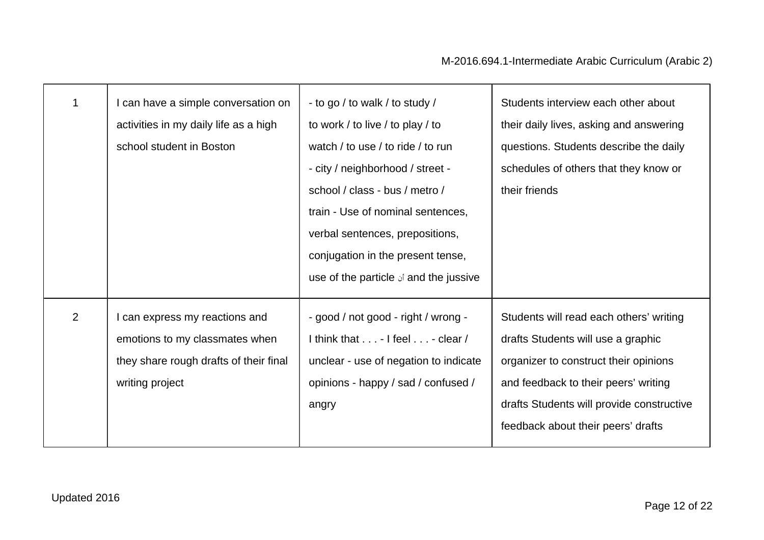| 1 | I can have a simple conversation on<br>activities in my daily life as a high<br>school student in Boston                    | - to go / to walk / to study /<br>to work / to live / to play / to<br>watch / to use / to ride / to run<br>- city / neighborhood / street -<br>school / class - bus / metro /<br>train - Use of nominal sentences,<br>verbal sentences, prepositions,<br>conjugation in the present tense,<br>use of the particle is and the jussive | Students interview each other about<br>their daily lives, asking and answering<br>questions. Students describe the daily<br>schedules of others that they know or<br>their friends                                                                |
|---|-----------------------------------------------------------------------------------------------------------------------------|--------------------------------------------------------------------------------------------------------------------------------------------------------------------------------------------------------------------------------------------------------------------------------------------------------------------------------------|---------------------------------------------------------------------------------------------------------------------------------------------------------------------------------------------------------------------------------------------------|
| 2 | can express my reactions and<br>emotions to my classmates when<br>they share rough drafts of their final<br>writing project | - good / not good - right / wrong -<br>I think that $\dots$ - I feel $\dots$ - clear /<br>unclear - use of negation to indicate<br>opinions - happy / sad / confused /<br>angry                                                                                                                                                      | Students will read each others' writing<br>drafts Students will use a graphic<br>organizer to construct their opinions<br>and feedback to their peers' writing<br>drafts Students will provide constructive<br>feedback about their peers' drafts |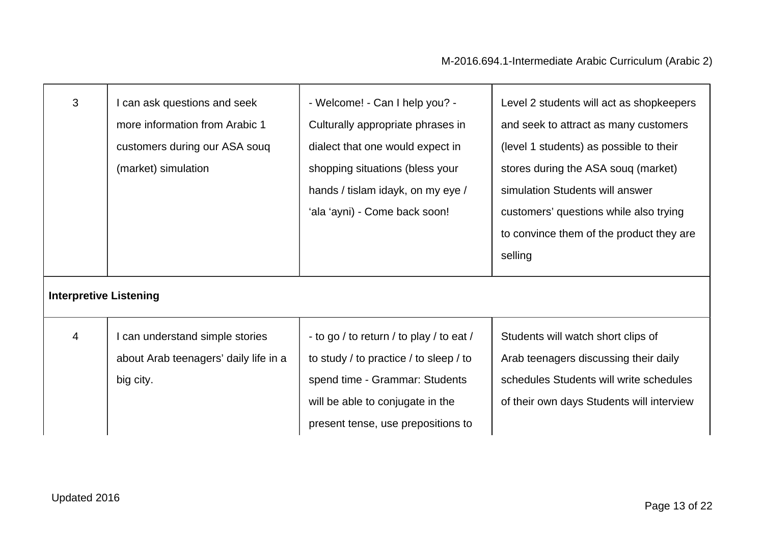┱

| 3                             | can ask questions and seek<br>more information from Arabic 1<br>customers during our ASA soug<br>(market) simulation | - Welcome! - Can I help you? -<br>Culturally appropriate phrases in<br>dialect that one would expect in<br>shopping situations (bless your | Level 2 students will act as shopkeepers<br>and seek to attract as many customers<br>(level 1 students) as possible to their<br>stores during the ASA souq (market) |
|-------------------------------|----------------------------------------------------------------------------------------------------------------------|--------------------------------------------------------------------------------------------------------------------------------------------|---------------------------------------------------------------------------------------------------------------------------------------------------------------------|
|                               |                                                                                                                      | hands / tislam idayk, on my eye /                                                                                                          | simulation Students will answer                                                                                                                                     |
|                               |                                                                                                                      | 'ala 'ayni) - Come back soon!                                                                                                              | customers' questions while also trying                                                                                                                              |
|                               |                                                                                                                      |                                                                                                                                            | to convince them of the product they are                                                                                                                            |
|                               |                                                                                                                      |                                                                                                                                            | selling                                                                                                                                                             |
| <b>Interpretive Listening</b> |                                                                                                                      |                                                                                                                                            |                                                                                                                                                                     |
| $\overline{4}$                | can understand simple stories                                                                                        | - to go / to return / to play / to eat /                                                                                                   | Students will watch short clips of                                                                                                                                  |
|                               | about Arab teenagers' daily life in a                                                                                | to study / to practice / to sleep / to                                                                                                     | Arab teenagers discussing their daily                                                                                                                               |
|                               | big city.                                                                                                            | spend time - Grammar: Students                                                                                                             | schedules Students will write schedules                                                                                                                             |
|                               |                                                                                                                      | will be able to conjugate in the                                                                                                           | of their own days Students will interview                                                                                                                           |
|                               |                                                                                                                      | present tense, use prepositions to                                                                                                         |                                                                                                                                                                     |

г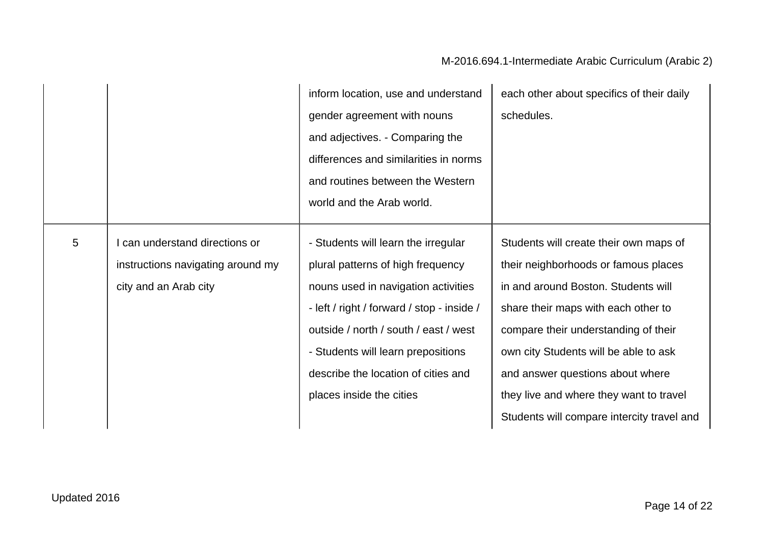|   |                                   | inform location, use and understand        | each other about specifics of their daily  |
|---|-----------------------------------|--------------------------------------------|--------------------------------------------|
|   |                                   | gender agreement with nouns                | schedules.                                 |
|   |                                   | and adjectives. - Comparing the            |                                            |
|   |                                   | differences and similarities in norms      |                                            |
|   |                                   | and routines between the Western           |                                            |
|   |                                   | world and the Arab world.                  |                                            |
| 5 | I can understand directions or    | - Students will learn the irregular        | Students will create their own maps of     |
|   | instructions navigating around my | plural patterns of high frequency          | their neighborhoods or famous places       |
|   | city and an Arab city             | nouns used in navigation activities        | in and around Boston. Students will        |
|   |                                   | - left / right / forward / stop - inside / | share their maps with each other to        |
|   |                                   | outside / north / south / east / west      | compare their understanding of their       |
|   |                                   | - Students will learn prepositions         | own city Students will be able to ask      |
|   |                                   | describe the location of cities and        | and answer questions about where           |
|   |                                   | places inside the cities                   | they live and where they want to travel    |
|   |                                   |                                            | Students will compare intercity travel and |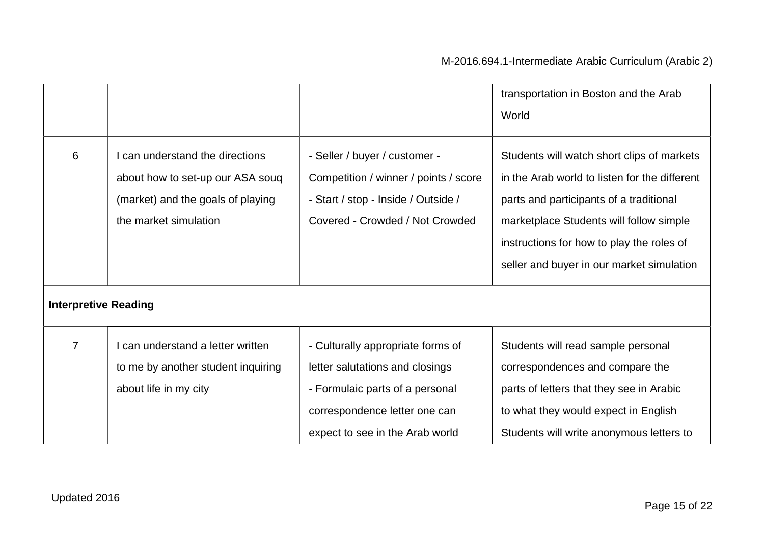|                             |                                                                                                                                   |                                                                                                                                                                             | transportation in Boston and the Arab<br>World                                                                                                                                                                                                                              |
|-----------------------------|-----------------------------------------------------------------------------------------------------------------------------------|-----------------------------------------------------------------------------------------------------------------------------------------------------------------------------|-----------------------------------------------------------------------------------------------------------------------------------------------------------------------------------------------------------------------------------------------------------------------------|
| 6                           | I can understand the directions<br>about how to set-up our ASA soug<br>(market) and the goals of playing<br>the market simulation | - Seller / buyer / customer -<br>Competition / winner / points / score<br>- Start / stop - Inside / Outside /<br>Covered - Crowded / Not Crowded                            | Students will watch short clips of markets<br>in the Arab world to listen for the different<br>parts and participants of a traditional<br>marketplace Students will follow simple<br>instructions for how to play the roles of<br>seller and buyer in our market simulation |
| <b>Interpretive Reading</b> |                                                                                                                                   |                                                                                                                                                                             |                                                                                                                                                                                                                                                                             |
| $\overline{7}$              | I can understand a letter written<br>to me by another student inquiring<br>about life in my city                                  | - Culturally appropriate forms of<br>letter salutations and closings<br>- Formulaic parts of a personal<br>correspondence letter one can<br>expect to see in the Arab world | Students will read sample personal<br>correspondences and compare the<br>parts of letters that they see in Arabic<br>to what they would expect in English<br>Students will write anonymous letters to                                                                       |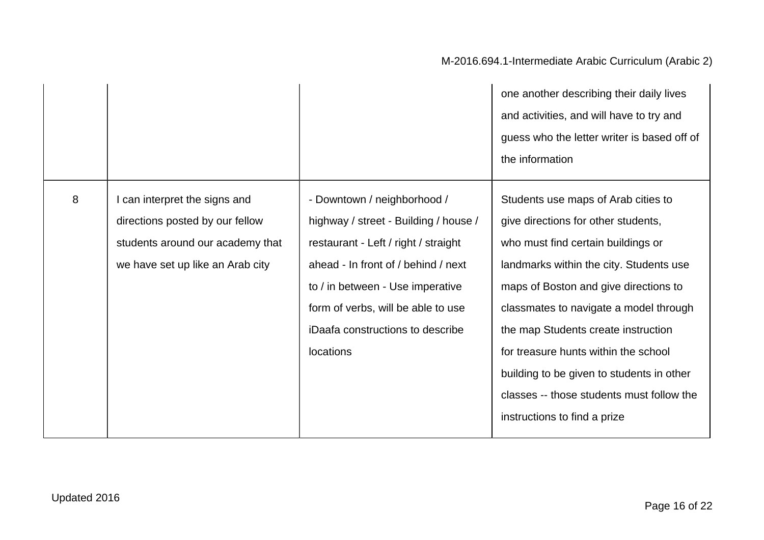|   |                                                                                                                                        |                                                                                                                                                                                                                                                                                | one another describing their daily lives<br>and activities, and will have to try and<br>guess who the letter writer is based off of<br>the information                                                                                                                                                                                                                                                                                                  |
|---|----------------------------------------------------------------------------------------------------------------------------------------|--------------------------------------------------------------------------------------------------------------------------------------------------------------------------------------------------------------------------------------------------------------------------------|---------------------------------------------------------------------------------------------------------------------------------------------------------------------------------------------------------------------------------------------------------------------------------------------------------------------------------------------------------------------------------------------------------------------------------------------------------|
| 8 | can interpret the signs and<br>directions posted by our fellow<br>students around our academy that<br>we have set up like an Arab city | - Downtown / neighborhood /<br>highway / street - Building / house /<br>restaurant - Left / right / straight<br>ahead - In front of / behind / next<br>to / in between - Use imperative<br>form of verbs, will be able to use<br>iDaafa constructions to describe<br>locations | Students use maps of Arab cities to<br>give directions for other students,<br>who must find certain buildings or<br>landmarks within the city. Students use<br>maps of Boston and give directions to<br>classmates to navigate a model through<br>the map Students create instruction<br>for treasure hunts within the school<br>building to be given to students in other<br>classes -- those students must follow the<br>instructions to find a prize |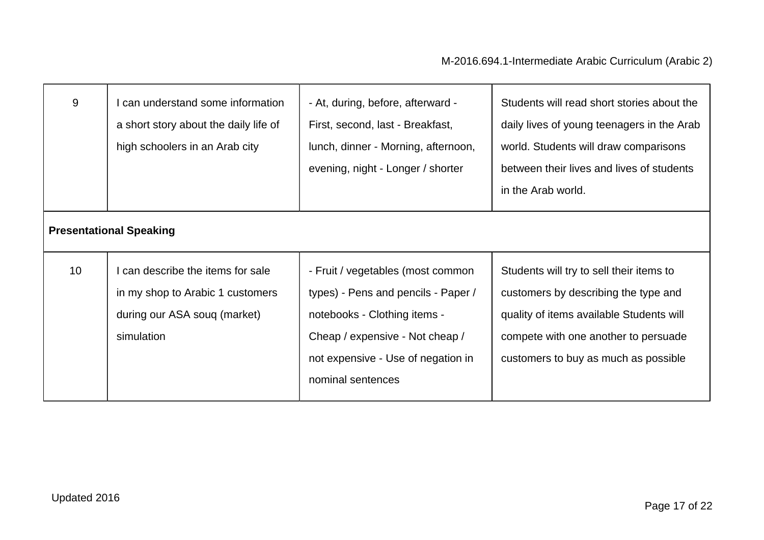| 9  | can understand some information<br>a short story about the daily life of<br>high schoolers in an Arab city        | - At, during, before, afterward -<br>First, second, last - Breakfast,<br>lunch, dinner - Morning, afternoon,<br>evening, night - Longer / shorter                                                      | Students will read short stories about the<br>daily lives of young teenagers in the Arab<br>world. Students will draw comparisons<br>between their lives and lives of students<br>in the Arab world.         |
|----|-------------------------------------------------------------------------------------------------------------------|--------------------------------------------------------------------------------------------------------------------------------------------------------------------------------------------------------|--------------------------------------------------------------------------------------------------------------------------------------------------------------------------------------------------------------|
|    | <b>Presentational Speaking</b>                                                                                    |                                                                                                                                                                                                        |                                                                                                                                                                                                              |
| 10 | can describe the items for sale<br>in my shop to Arabic 1 customers<br>during our ASA soug (market)<br>simulation | - Fruit / vegetables (most common<br>types) - Pens and pencils - Paper /<br>notebooks - Clothing items -<br>Cheap / expensive - Not cheap /<br>not expensive - Use of negation in<br>nominal sentences | Students will try to sell their items to<br>customers by describing the type and<br>quality of items available Students will<br>compete with one another to persuade<br>customers to buy as much as possible |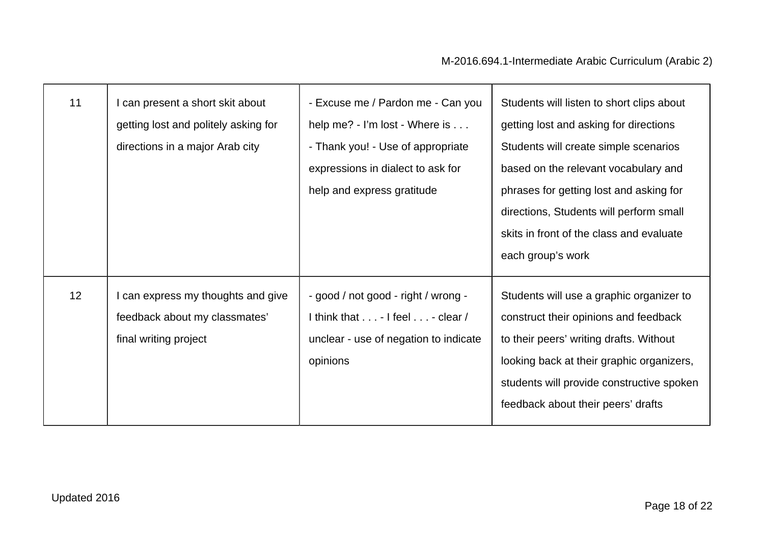| 11 | I can present a short skit about<br>getting lost and politely asking for<br>directions in a major Arab city | - Excuse me / Pardon me - Can you<br>help me? - I'm lost - Where is<br>- Thank you! - Use of appropriate<br>expressions in dialect to ask for<br>help and express gratitude | Students will listen to short clips about<br>getting lost and asking for directions<br>Students will create simple scenarios<br>based on the relevant vocabulary and<br>phrases for getting lost and asking for<br>directions, Students will perform small<br>skits in front of the class and evaluate<br>each group's work |
|----|-------------------------------------------------------------------------------------------------------------|-----------------------------------------------------------------------------------------------------------------------------------------------------------------------------|-----------------------------------------------------------------------------------------------------------------------------------------------------------------------------------------------------------------------------------------------------------------------------------------------------------------------------|
| 12 | I can express my thoughts and give<br>feedback about my classmates'<br>final writing project                | - good / not good - right / wrong -<br>I think that $\dots$ - I feel $\dots$ - clear /<br>unclear - use of negation to indicate<br>opinions                                 | Students will use a graphic organizer to<br>construct their opinions and feedback<br>to their peers' writing drafts. Without<br>looking back at their graphic organizers,<br>students will provide constructive spoken<br>feedback about their peers' drafts                                                                |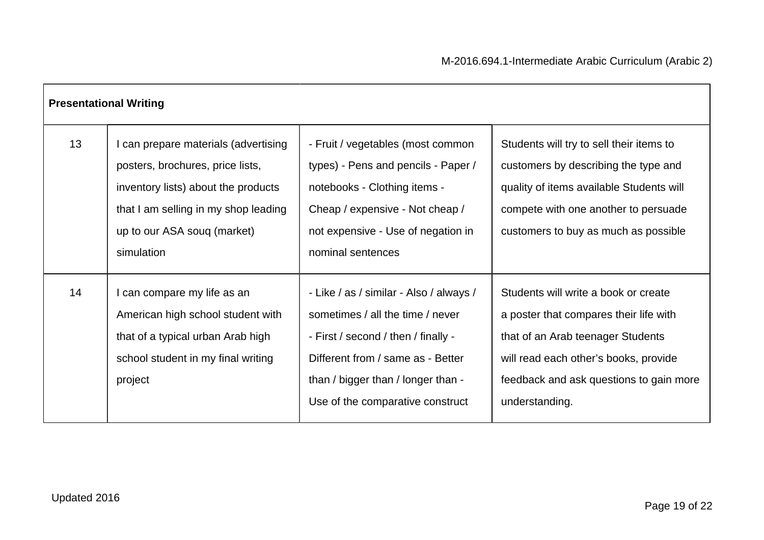|    | <b>Presentational Writing</b>                                                                                                                                                                      |                                                                                                                                                                                                                                   |                                                                                                                                                                                                                           |
|----|----------------------------------------------------------------------------------------------------------------------------------------------------------------------------------------------------|-----------------------------------------------------------------------------------------------------------------------------------------------------------------------------------------------------------------------------------|---------------------------------------------------------------------------------------------------------------------------------------------------------------------------------------------------------------------------|
| 13 | can prepare materials (advertising<br>posters, brochures, price lists,<br>inventory lists) about the products<br>that I am selling in my shop leading<br>up to our ASA soug (market)<br>simulation | - Fruit / vegetables (most common<br>types) - Pens and pencils - Paper /<br>notebooks - Clothing items -<br>Cheap / expensive - Not cheap /<br>not expensive - Use of negation in<br>nominal sentences                            | Students will try to sell their items to<br>customers by describing the type and<br>quality of items available Students will<br>compete with one another to persuade<br>customers to buy as much as possible              |
| 14 | can compare my life as an<br>American high school student with<br>that of a typical urban Arab high<br>school student in my final writing<br>project                                               | - Like / as / similar - Also / always /<br>sometimes / all the time / never<br>- First / second / then / finally -<br>Different from / same as - Better<br>than / bigger than / longer than -<br>Use of the comparative construct | Students will write a book or create<br>a poster that compares their life with<br>that of an Arab teenager Students<br>will read each other's books, provide<br>feedback and ask questions to gain more<br>understanding. |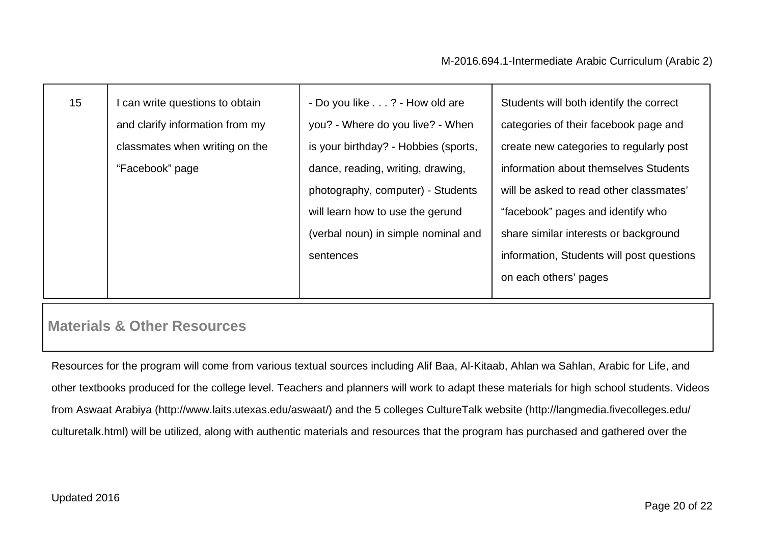| 15 | can write questions to obtain   | - Do you like ? - How old are        | Students will both identify the correct   |
|----|---------------------------------|--------------------------------------|-------------------------------------------|
|    | and clarify information from my | you? - Where do you live? - When     | categories of their facebook page and     |
|    | classmates when writing on the  | is your birthday? - Hobbies (sports, | create new categories to regularly post   |
|    | "Facebook" page                 | dance, reading, writing, drawing,    | information about themselves Students     |
|    |                                 | photography, computer) - Students    | will be asked to read other classmates'   |
|    |                                 | will learn how to use the gerund     | "facebook" pages and identify who         |
|    |                                 | (verbal noun) in simple nominal and  | share similar interests or background     |
|    |                                 | sentences                            | information, Students will post questions |
|    |                                 |                                      | on each others' pages                     |
|    |                                 |                                      |                                           |

### **Materials & Other Resources**

Resources for the program will come from various textual sources including Alif Baa, Al-Kitaab, Ahlan wa Sahlan, Arabic for Life, and other textbooks produced for the college level. Teachers and planners will work to adapt these materials for high school students. Videos from Aswaat Arabiya (http://www.laits.utexas.edu/aswaat/) and the 5 colleges CultureTalk website (http://langmedia.fivecolleges.edu/ culturetalk.html) will be utilized, along with authentic materials and resources that the program has purchased and gathered over the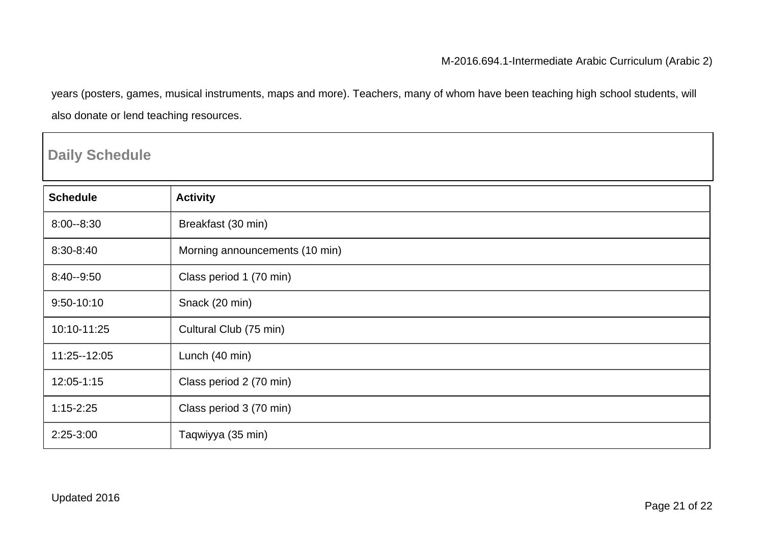years (posters, games, musical instruments, maps and more). Teachers, many of whom have been teaching high school students, will also donate or lend teaching resources.

### **Daily Schedule**

| <b>Schedule</b> | <b>Activity</b>                |
|-----------------|--------------------------------|
| $8:00 - 8:30$   | Breakfast (30 min)             |
| 8:30-8:40       | Morning announcements (10 min) |
| 8:40--9:50      | Class period 1 (70 min)        |
| 9:50-10:10      | Snack (20 min)                 |
| 10:10-11:25     | Cultural Club (75 min)         |
| 11:25 -- 12:05  | Lunch (40 min)                 |
| 12:05-1:15      | Class period 2 (70 min)        |
| $1:15 - 2:25$   | Class period 3 (70 min)        |
| 2:25-3:00       | Taqwiyya (35 min)              |